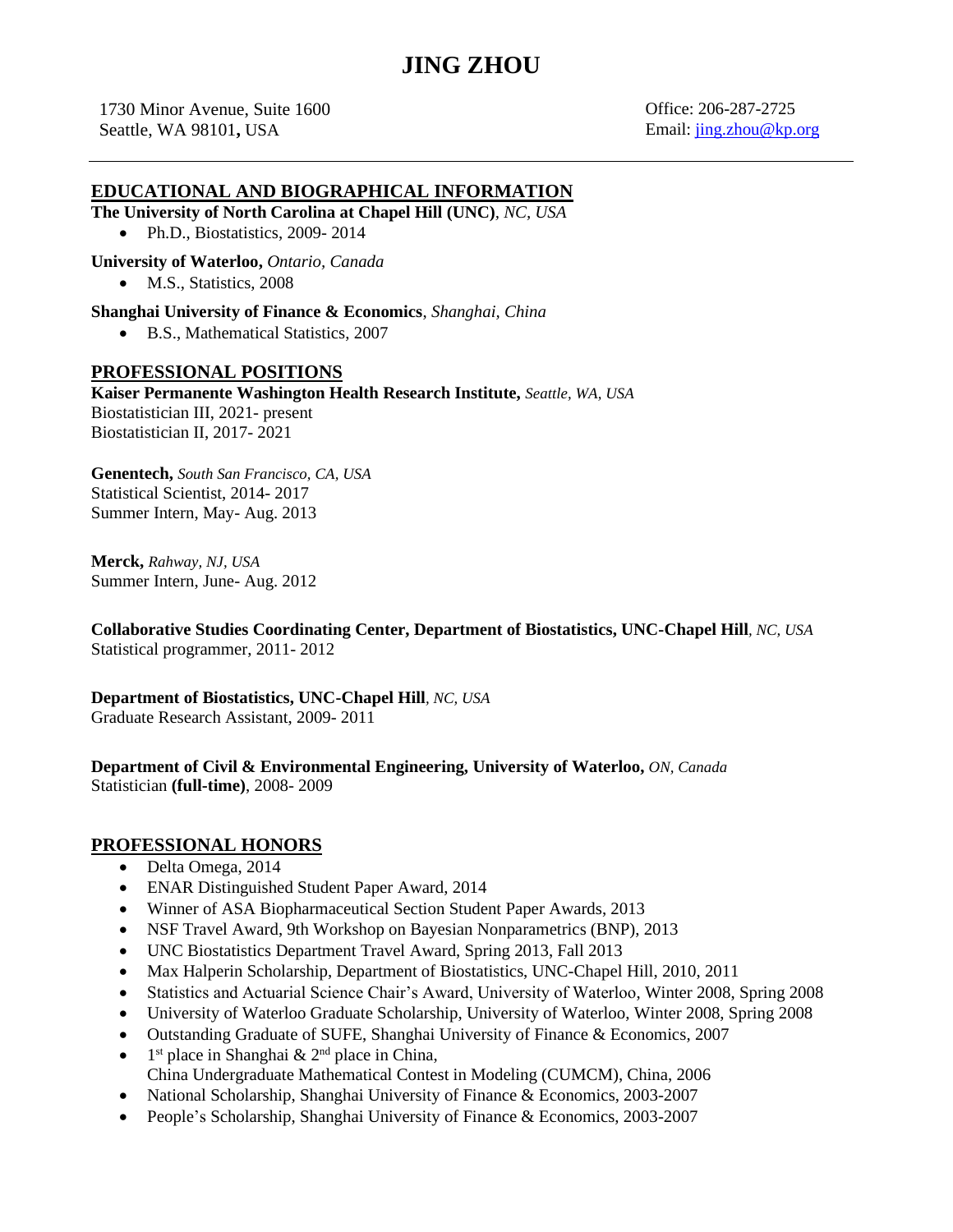# **JING ZHOU**

1730 Minor Avenue, Suite 1600 Office: 206-287-2725 Seattle, WA 98101, USA Email: [jing.zhou@kp.org](mailto:jing.zhou@kp.org)

### **EDUCATIONAL AND BIOGRAPHICAL INFORMATION**

**The University of North Carolina at Chapel Hill (UNC)***, NC, USA*

• Ph.D., Biostatistics, 2009-2014

**University of Waterloo,** *Ontario, Canada*

• M.S., Statistics, 2008

**Shanghai University of Finance & Economics**, *Shanghai, China*

• B.S., Mathematical Statistics, 2007

#### **PROFESSIONAL POSITIONS**

**Kaiser Permanente Washington Health Research Institute,** *Seattle, WA, USA* Biostatistician III, 2021- present Biostatistician II, 2017- 2021

**Genentech,** *South San Francisco, CA, USA* Statistical Scientist, 2014- 2017 Summer Intern, May- Aug. 2013

**Merck,** *Rahway, NJ, USA* Summer Intern, June- Aug. 2012

**Collaborative Studies Coordinating Center, Department of Biostatistics, UNC-Chapel Hill***, NC, USA* Statistical programmer, 2011- 2012

**Department of Biostatistics, UNC-Chapel Hill***, NC, USA* Graduate Research Assistant, 2009- 2011

**Department of Civil & Environmental Engineering, University of Waterloo,** *ON, Canada* Statistician **(full-time)**, 2008- 2009

#### **PROFESSIONAL HONORS**

- Delta Omega, 2014
- ENAR Distinguished Student Paper Award, 2014
- Winner of ASA Biopharmaceutical Section Student Paper Awards, 2013
- NSF Travel Award, 9th Workshop on Bayesian Nonparametrics (BNP), 2013
- UNC Biostatistics Department Travel Award, Spring 2013, Fall 2013
- Max Halperin Scholarship, Department of Biostatistics, UNC-Chapel Hill, 2010, 2011
- Statistics and Actuarial Science Chair's Award, University of Waterloo, Winter 2008, Spring 2008
- University of Waterloo Graduate Scholarship, University of Waterloo, Winter 2008, Spring 2008
- Outstanding Graduate of SUFE, Shanghai University of Finance & Economics, 2007
- $\bullet$  $s<sup>t</sup>$  place in Shanghai & 2<sup>nd</sup> place in China, China Undergraduate Mathematical Contest in Modeling (CUMCM), China, 2006
- National Scholarship, Shanghai University of Finance & Economics, 2003-2007
- People's Scholarship, Shanghai University of Finance & Economics, 2003-2007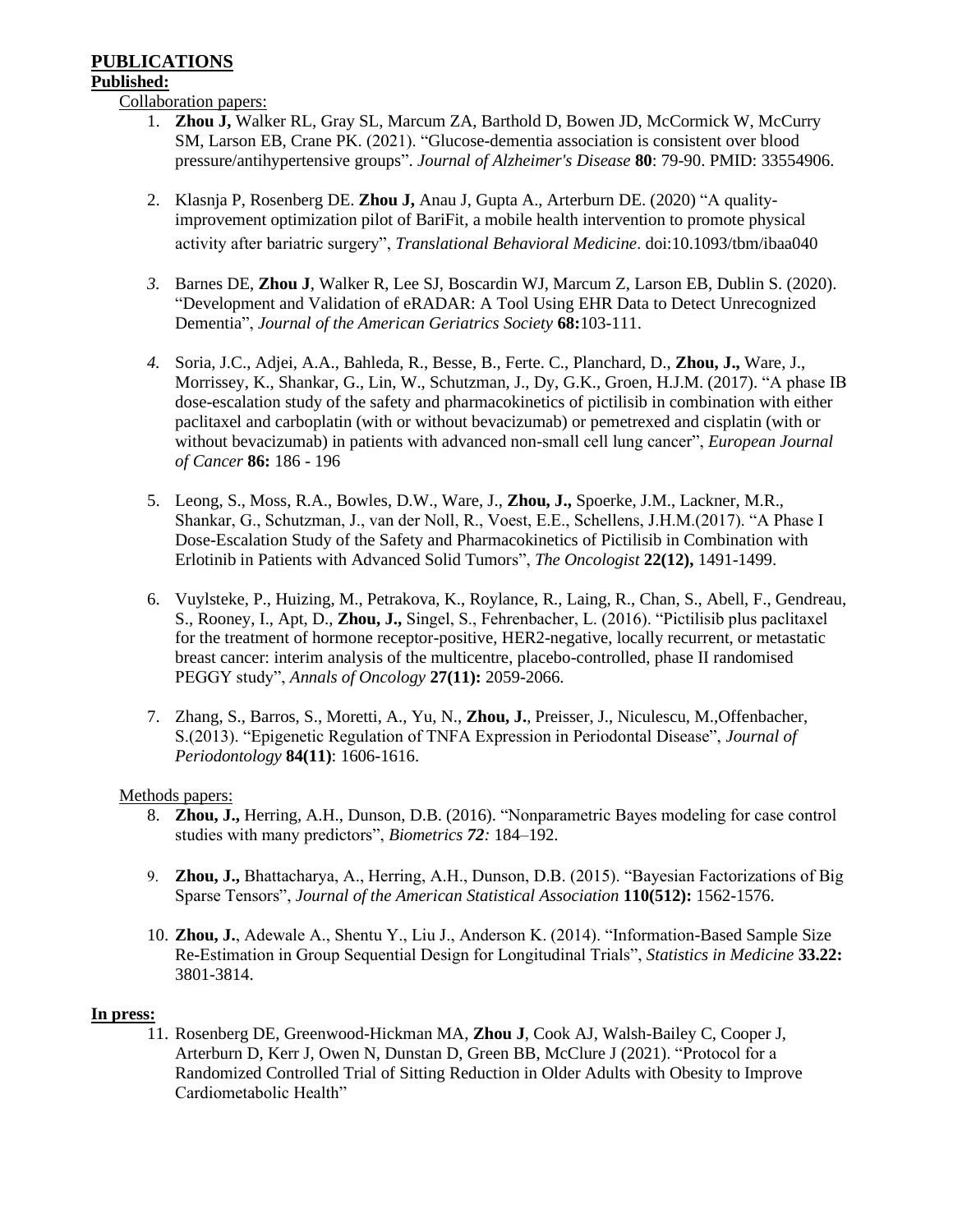## **PUBLICATIONS**

#### **Published:**

Collaboration papers:

- 1. **Zhou J,** Walker RL, Gray SL, Marcum ZA, Barthold D, Bowen JD, McCormick W, McCurry SM, Larson EB, Crane PK. (2021). "Glucose-dementia association is consistent over blood pressure/antihypertensive groups". *Journal of Alzheimer's Disease* **80**: 79-90. PMID: 33554906.
- 2. Klasnja P, Rosenberg DE. **Zhou J,** Anau J, Gupta A., Arterburn DE. (2020) "A qualityimprovement optimization pilot of BariFit, a mobile health intervention to promote physical activity after bariatric surgery", *Translational Behavioral Medicine*. doi:10.1093/tbm/ibaa040
- *3.* Barnes DE, **Zhou J**, Walker R, Lee SJ, Boscardin WJ, Marcum Z, Larson EB, Dublin S. (2020). "Development and Validation of eRADAR: A Tool Using EHR Data to Detect Unrecognized Dementia", *Journal of the American Geriatrics Society* **68:**103-111.
- *4.* Soria, J.C., Adjei, A.A., Bahleda, R., Besse, B., Ferte. C., Planchard, D., **Zhou, J.,** Ware, J., Morrissey, K., Shankar, G., Lin, W., Schutzman, J., Dy, G.K., Groen, H.J.M. (2017). "A phase IB dose-escalation study of the safety and pharmacokinetics of pictilisib in combination with either paclitaxel and carboplatin (with or without bevacizumab) or pemetrexed and cisplatin (with or without bevacizumab) in patients with advanced non-small cell lung cancer", *European Journal of Cancer* **86:** 186 - 196
- 5. Leong, S., Moss, R.A., Bowles, D.W., Ware, J., **Zhou, J.,** Spoerke, J.M., Lackner, M.R., Shankar, G., Schutzman, J., van der Noll, R., Voest, E.E., Schellens, J.H.M.(2017). "A Phase I Dose-Escalation Study of the Safety and Pharmacokinetics of Pictilisib in Combination with Erlotinib in Patients with Advanced Solid Tumors", *The Oncologist* **22(12),** 1491-1499.
- 6. Vuylsteke, P., Huizing, M., Petrakova, K., Roylance, R., Laing, R., Chan, S., Abell, F., Gendreau, S., Rooney, I., Apt, D., **Zhou, J.,** Singel, S., Fehrenbacher, L. (2016). "Pictilisib plus paclitaxel for the treatment of hormone receptor-positive, HER2-negative, locally recurrent, or metastatic breast cancer: interim analysis of the multicentre, placebo-controlled, phase II randomised PEGGY study", *Annals of Oncology* **27[\(11\)](https://annonc.oxfordjournals.org/content/27/11.toc):** 2059-2066.
- 7. Zhang, S., Barros, S., Moretti, A., Yu, N., **Zhou, J.**, Preisser, J., Niculescu, M.,Offenbacher, S.(2013). "Epigenetic Regulation of TNFA Expression in Periodontal Disease", *Journal of Periodontology* **84(11)**: 1606-1616.

### Methods papers:

- 8. **Zhou, J.,** Herring, A.H., Dunson, D.B. (2016). "Nonparametric Bayes modeling for case control studies with many predictors", *Biometrics 72:* 184–192.
- 9. **Zhou, J.,** Bhattacharya, A., Herring, A.H., Dunson, D.B. (2015). "Bayesian Factorizations of Big Sparse Tensors", *Journal of the American Statistical Association* **110(512):** 1562-1576.
- 10. **Zhou, J.**, Adewale A., Shentu Y., Liu J., Anderson K. (2014). "Information-Based Sample Size Re-Estimation in Group Sequential Design for Longitudinal Trials", *Statistics in Medicine* **33.22:** 3801-3814.

### **In press:**

11. Rosenberg DE, Greenwood-Hickman MA, **Zhou J**, Cook AJ, Walsh-Bailey C, Cooper J, Arterburn D, Kerr J, Owen N, Dunstan D, Green BB, McClure J (2021). "Protocol for a Randomized Controlled Trial of Sitting Reduction in Older Adults with Obesity to Improve Cardiometabolic Health"